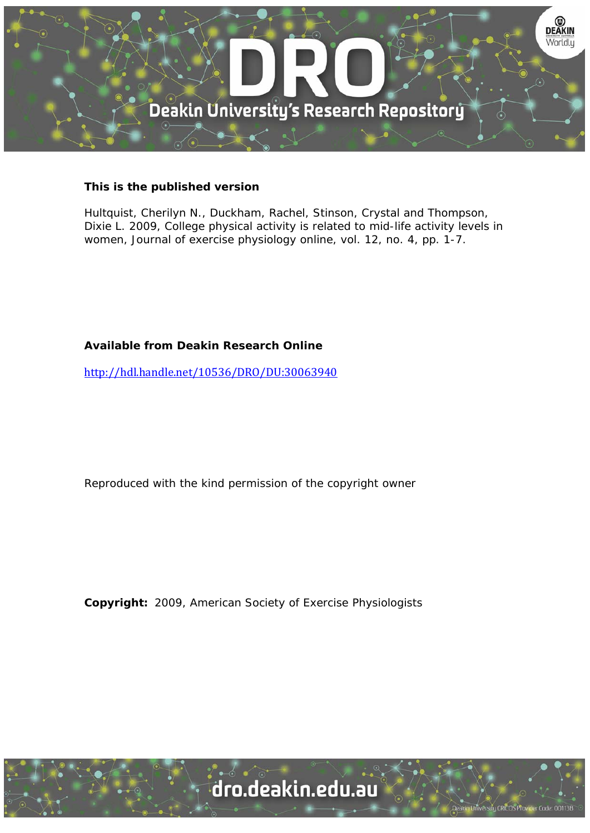

# **This is the published version**

Hultquist, Cherilyn N., Duckham, Rachel, Stinson, Crystal and Thompson, Dixie L. 2009, College physical activity is related to mid-life activity levels in women, Journal of exercise physiology online, vol. 12, no. 4, pp. 1-7.

# **Available from Deakin Research Online**

http://hdl.handle.net/10536/DRO/DU:30063940

Reproduced with the kind permission of the copyright owner

**Copyright:** 2009, American Society of Exercise Physiologists

University CRICOS Provider Code: 00113E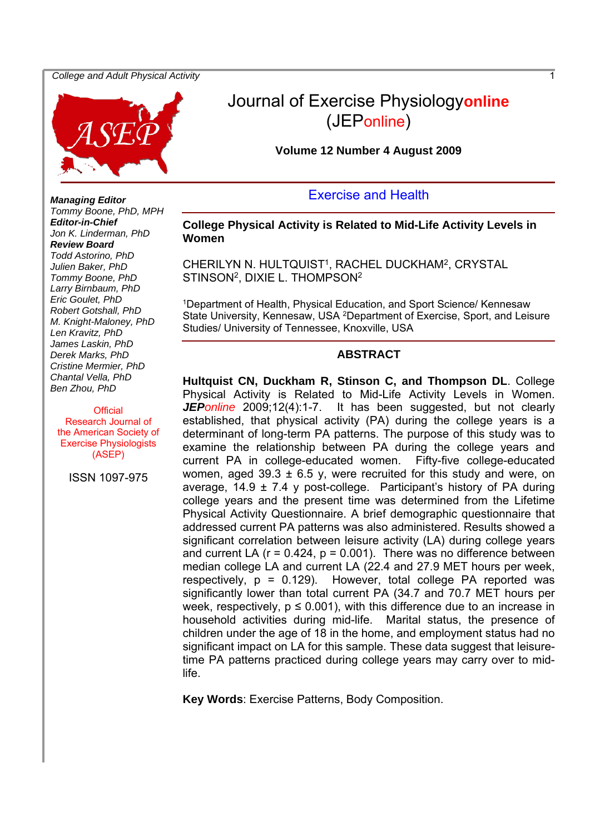#### *College and Adult Physical Activity* 1



# Journal of Exercise Physiology**online** (JEPonline)

#### **Volume 12 Number 4 August 2009**

# Exercise and Health

#### **College Physical Activity is Related to Mid-Life Activity Levels in Women**

CHERILYN N. HULTQUIST<sup>1</sup>, RACHEL DUCKHAM<sup>2</sup>, CRYSTAL STINSON2, DIXIE L. THOMPSON2

1Department of Health, Physical Education, and Sport Science/ Kennesaw State University, Kennesaw, USA <sup>2</sup>Department of Exercise, Sport, and Leisure Studies/ University of Tennessee, Knoxville, USA

#### **ABSTRACT**

**Hultquist CN, Duckham R, Stinson C, and Thompson DL**. College Physical Activity is Related to Mid-Life Activity Levels in Women. *JEPonline* 2009;12(4):1-7. It has been suggested, but not clearly established, that physical activity (PA) during the college years is a determinant of long-term PA patterns. The purpose of this study was to examine the relationship between PA during the college years and current PA in college-educated women. Fifty-five college-educated women, aged  $39.3 \pm 6.5$  y, were recruited for this study and were, on average,  $14.9 \pm 7.4$  y post-college. Participant's history of PA during college years and the present time was determined from the Lifetime Physical Activity Questionnaire. A brief demographic questionnaire that addressed current PA patterns was also administered. Results showed a significant correlation between leisure activity (LA) during college years and current LA  $(r = 0.424, p = 0.001)$ . There was no difference between median college LA and current LA (22.4 and 27.9 MET hours per week, respectively,  $p = 0.129$ . However, total college PA reported was significantly lower than total current PA (34.7 and 70.7 MET hours per week, respectively,  $p \le 0.001$ ), with this difference due to an increase in household activities during mid-life. Marital status, the presence of children under the age of 18 in the home, and employment status had no significant impact on LA for this sample. These data suggest that leisuretime PA patterns practiced during college years may carry over to midlife.

**Key Words**: Exercise Patterns, Body Composition.

*Managing Editor Tommy Boone, PhD, MPH Editor-in-Chief Jon K. Linderman, PhD Review Board Todd Astorino, PhD Julien Baker, PhD Tommy Boone, PhD Larry Birnbaum, PhD Eric Goulet, PhD Robert Gotshall, PhD M. Knight-Maloney, PhD Len Kravitz, PhD James Laskin, PhD Derek Marks, PhD Cristine Mermier, PhD Chantal Vella, PhD Ben Zhou, PhD* 

#### **Official**

Research Journal of the American Society of Exercise Physiologists (ASEP)

ISSN 1097-975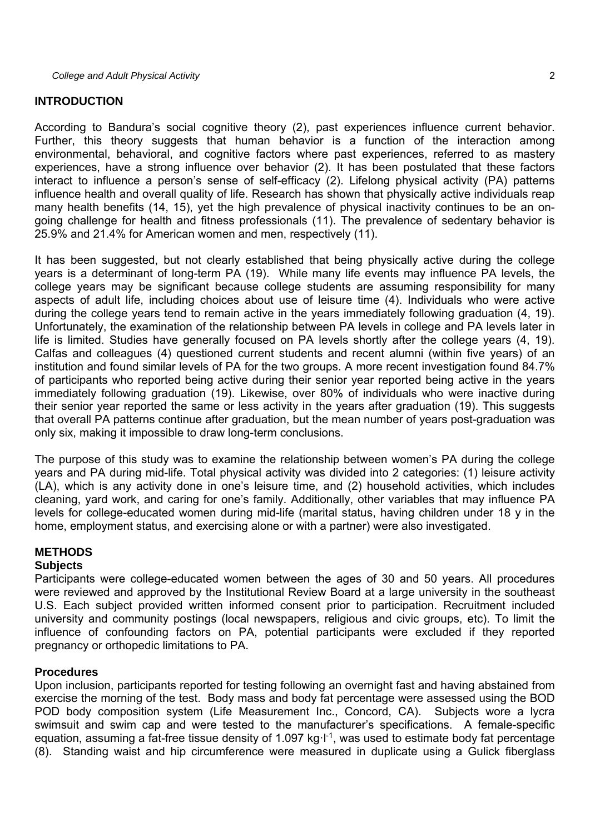#### **INTRODUCTION**

According to Bandura's social cognitive theory (2), past experiences influence current behavior. Further, this theory suggests that human behavior is a function of the interaction among environmental, behavioral, and cognitive factors where past experiences, referred to as mastery experiences, have a strong influence over behavior (2). It has been postulated that these factors interact to influence a person's sense of self-efficacy (2). Lifelong physical activity (PA) patterns influence health and overall quality of life. Research has shown that physically active individuals reap many health benefits (14, 15), yet the high prevalence of physical inactivity continues to be an ongoing challenge for health and fitness professionals (11). The prevalence of sedentary behavior is 25.9% and 21.4% for American women and men, respectively (11).

It has been suggested, but not clearly established that being physically active during the college years is a determinant of long-term PA (19). While many life events may influence PA levels, the college years may be significant because college students are assuming responsibility for many aspects of adult life, including choices about use of leisure time (4). Individuals who were active during the college years tend to remain active in the years immediately following graduation (4, 19). Unfortunately, the examination of the relationship between PA levels in college and PA levels later in life is limited. Studies have generally focused on PA levels shortly after the college years (4, 19). Calfas and colleagues (4) questioned current students and recent alumni (within five years) of an institution and found similar levels of PA for the two groups. A more recent investigation found 84.7% of participants who reported being active during their senior year reported being active in the years immediately following graduation (19). Likewise, over 80% of individuals who were inactive during their senior year reported the same or less activity in the years after graduation (19). This suggests that overall PA patterns continue after graduation, but the mean number of years post-graduation was only six, making it impossible to draw long-term conclusions.

The purpose of this study was to examine the relationship between women's PA during the college years and PA during mid-life. Total physical activity was divided into 2 categories: (1) leisure activity (LA), which is any activity done in one's leisure time, and (2) household activities, which includes cleaning, yard work, and caring for one's family. Additionally, other variables that may influence PA levels for college-educated women during mid-life (marital status, having children under 18 y in the home, employment status, and exercising alone or with a partner) were also investigated.

### **METHODS**

#### **Subjects**

Participants were college-educated women between the ages of 30 and 50 years. All procedures were reviewed and approved by the Institutional Review Board at a large university in the southeast U.S. Each subject provided written informed consent prior to participation. Recruitment included university and community postings (local newspapers, religious and civic groups, etc). To limit the influence of confounding factors on PA, potential participants were excluded if they reported pregnancy or orthopedic limitations to PA.

### **Procedures**

Upon inclusion, participants reported for testing following an overnight fast and having abstained from exercise the morning of the test. Body mass and body fat percentage were assessed using the BOD POD body composition system (Life Measurement Inc., Concord, CA). Subjects wore a lycra swimsuit and swim cap and were tested to the manufacturer's specifications. A female-specific equation, assuming a fat-free tissue density of 1.097 kg·l<sup>-1</sup>, was used to estimate body fat percentage (8). Standing waist and hip circumference were measured in duplicate using a Gulick fiberglass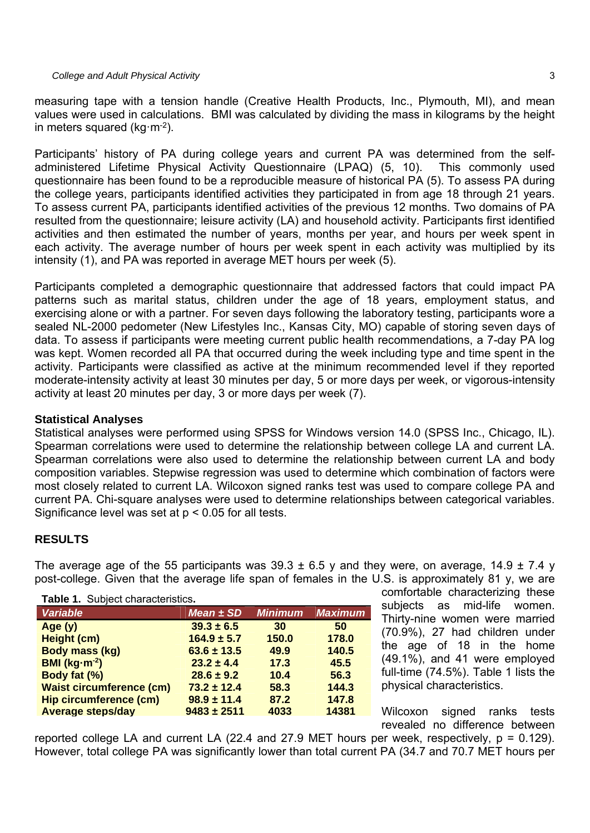measuring tape with a tension handle (Creative Health Products, Inc., Plymouth, MI), and mean values were used in calculations. BMI was calculated by dividing the mass in kilograms by the height in meters squared ( $ka·m<sup>-2</sup>$ ).

Participants' history of PA during college years and current PA was determined from the selfadministered Lifetime Physical Activity Questionnaire (LPAQ) (5, 10). This commonly used questionnaire has been found to be a reproducible measure of historical PA (5). To assess PA during the college years, participants identified activities they participated in from age 18 through 21 years. To assess current PA, participants identified activities of the previous 12 months. Two domains of PA resulted from the questionnaire; leisure activity (LA) and household activity. Participants first identified activities and then estimated the number of years, months per year, and hours per week spent in each activity. The average number of hours per week spent in each activity was multiplied by its intensity (1), and PA was reported in average MET hours per week (5).

Participants completed a demographic questionnaire that addressed factors that could impact PA patterns such as marital status, children under the age of 18 years, employment status, and exercising alone or with a partner. For seven days following the laboratory testing, participants wore a sealed NL-2000 pedometer (New Lifestyles Inc., Kansas City, MO) capable of storing seven days of data. To assess if participants were meeting current public health recommendations, a 7-day PA log was kept. Women recorded all PA that occurred during the week including type and time spent in the activity. Participants were classified as active at the minimum recommended level if they reported moderate-intensity activity at least 30 minutes per day, 5 or more days per week, or vigorous-intensity activity at least 20 minutes per day, 3 or more days per week (7).

# **Statistical Analyses**

Statistical analyses were performed using SPSS for Windows version 14.0 (SPSS Inc., Chicago, IL). Spearman correlations were used to determine the relationship between college LA and current LA. Spearman correlations were also used to determine the relationship between current LA and body composition variables. Stepwise regression was used to determine which combination of factors were most closely related to current LA. Wilcoxon signed ranks test was used to compare college PA and current PA. Chi-square analyses were used to determine relationships between categorical variables. Significance level was set at  $p < 0.05$  for all tests.

# **RESULTS**

The average age of the 55 participants was  $39.3 \pm 6.5$  y and they were, on average, 14.9  $\pm$  7.4 y post-college. Given that the average life span of females in the U.S. is approximately 81 y, we are

#### **Table 1.** Subject characteristics**.**

| $1.471$ $1.731$ $1.731$ $1.731$ $1.731$ $1.731$ $1.731$ $1.731$ $1.731$ $1.731$ |                 |                |                |  |
|---------------------------------------------------------------------------------|-----------------|----------------|----------------|--|
| <b>Variable</b>                                                                 | $Mean \pm SD$   | <b>Minimum</b> | <b>Maximum</b> |  |
| Age(y)                                                                          | $39.3 \pm 6.5$  | 30             | 50             |  |
| Height (cm)                                                                     | $164.9 \pm 5.7$ | 150.0          | 178.0          |  |
| <b>Body mass (kg)</b>                                                           | $63.6 \pm 13.5$ | 49.9           | 140.5          |  |
| $BM (kg·m-2)$                                                                   | $23.2 \pm 4.4$  | 17.3           | 45.5           |  |
| Body fat (%)                                                                    | $28.6 \pm 9.2$  | 10.4           | 56.3           |  |
| <b>Waist circumference (cm)</b>                                                 | $73.2 \pm 12.4$ | 58.3           | 144.3          |  |
| <b>Hip circumference (cm)</b>                                                   | $98.9 \pm 11.4$ | 87.2           | 147.8          |  |
| <b>Average steps/day</b>                                                        | $9483 \pm 2511$ | 4033           | 14381          |  |

comfortable characterizing these subjects as mid-life women. Thirty-nine women were married (70.9%), 27 had children under the age of 18 in the home (49.1%), and 41 were employed full-time (74.5%). Table 1 lists the physical characteristics.

Wilcoxon signed ranks tests revealed no difference between

reported college LA and current LA (22.4 and 27.9 MET hours per week, respectively,  $p = 0.129$ ). However, total college PA was significantly lower than total current PA (34.7 and 70.7 MET hours per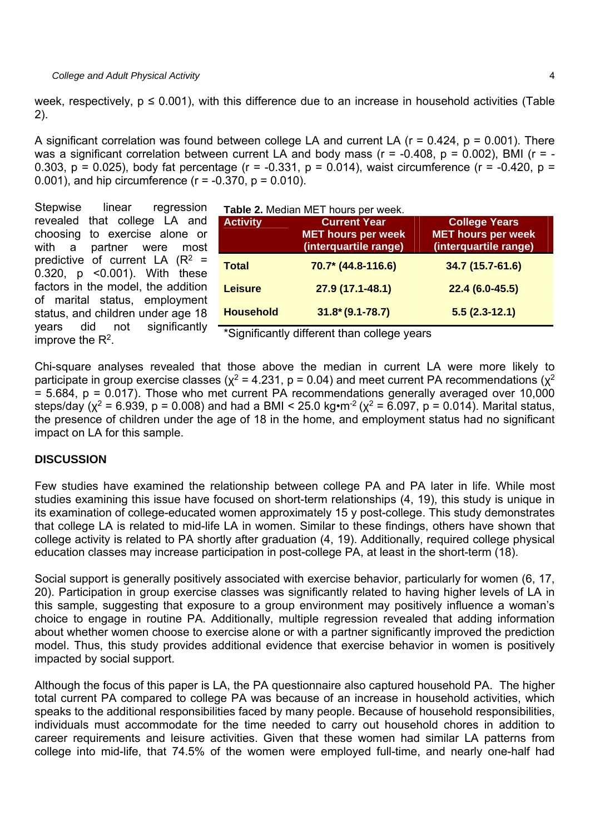week, respectively,  $p \le 0.001$ ), with this difference due to an increase in household activities (Table 2).

A significant correlation was found between college LA and current LA ( $r = 0.424$ ,  $p = 0.001$ ). There was a significant correlation between current LA and body mass ( $r = -0.408$ ,  $p = 0.002$ ), BMI ( $r = -1$ 0.303,  $p = 0.025$ ), body fat percentage (r = -0.331,  $p = 0.014$ ), waist circumference (r = -0.420,  $p =$ 0.001), and hip circumference  $(r = -0.370, p = 0.010)$ .

Stepwise linear regression revealed that college LA and choosing to exercise alone or with a partner were most predictive of current LA  $(R^2 =$ 0.320, p <0.001). With these factors in the model, the addition of marital status, employment status, and children under age 18 years did not significantly improve the  $R^2$ .

| Table 2. Median MET hours per week. |  |
|-------------------------------------|--|
|                                     |  |

| <b>Activity</b>  | <b>Current Year</b><br><b>MET hours per week</b><br>(interquartile range) | <b>College Years</b><br><b>MET hours per week</b><br>(interquartile range) |
|------------------|---------------------------------------------------------------------------|----------------------------------------------------------------------------|
| <b>Total</b>     | 70.7* (44.8-116.6)                                                        | 34.7 (15.7-61.6)                                                           |
| <b>Leisure</b>   | 27.9 (17.1-48.1)                                                          | $22.4(6.0-45.5)$                                                           |
| <b>Household</b> | $31.8*(9.1-78.7)$                                                         | $5.5(2.3-12.1)$                                                            |

\*Significantly different than college years

Chi-square analyses revealed that those above the median in current LA were more likely to participate in group exercise classes ( $\chi^2$  = 4.231, p = 0.04) and meet current PA recommendations ( $\chi^2$  $= 5.684$ ,  $p = 0.017$ ). Those who met current PA recommendations generally averaged over 10,000 steps/day ( $x^2$  = 6.939, p = 0.008) and had a BMI < 25.0 kg·m<sup>-2</sup> ( $x^2$  = 6.097, p = 0.014). Marital status, the presence of children under the age of 18 in the home, and employment status had no significant impact on LA for this sample.

### **DISCUSSION**

Few studies have examined the relationship between college PA and PA later in life. While most studies examining this issue have focused on short-term relationships (4, 19), this study is unique in its examination of college-educated women approximately 15 y post-college. This study demonstrates that college LA is related to mid-life LA in women. Similar to these findings, others have shown that college activity is related to PA shortly after graduation (4, 19). Additionally, required college physical education classes may increase participation in post-college PA, at least in the short-term (18).

Social support is generally positively associated with exercise behavior, particularly for women (6, 17, 20). Participation in group exercise classes was significantly related to having higher levels of LA in this sample, suggesting that exposure to a group environment may positively influence a woman's choice to engage in routine PA. Additionally, multiple regression revealed that adding information about whether women choose to exercise alone or with a partner significantly improved the prediction model. Thus, this study provides additional evidence that exercise behavior in women is positively impacted by social support.

Although the focus of this paper is LA, the PA questionnaire also captured household PA. The higher total current PA compared to college PA was because of an increase in household activities, which speaks to the additional responsibilities faced by many people. Because of household responsibilities, individuals must accommodate for the time needed to carry out household chores in addition to career requirements and leisure activities. Given that these women had similar LA patterns from college into mid-life, that 74.5% of the women were employed full-time, and nearly one-half had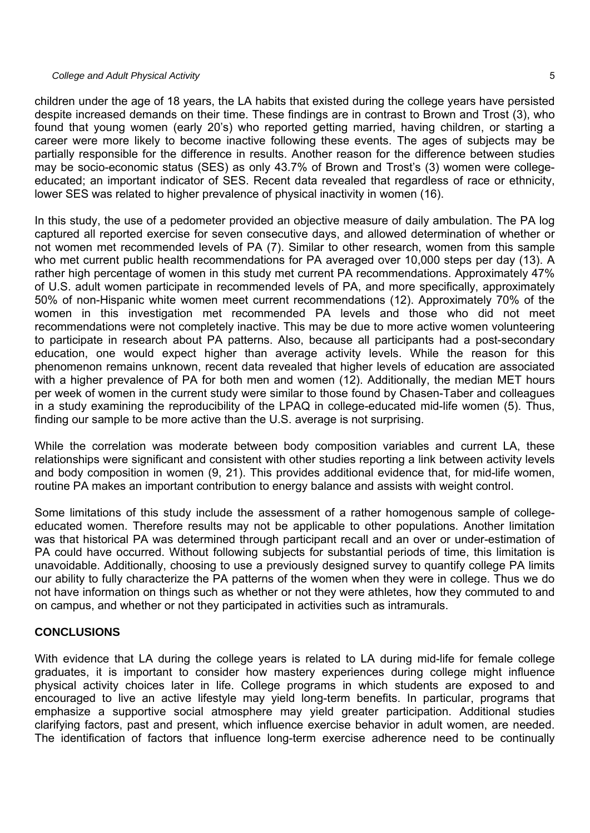#### *College and Adult Physical Activity* 5

children under the age of 18 years, the LA habits that existed during the college years have persisted despite increased demands on their time. These findings are in contrast to Brown and Trost (3), who found that young women (early 20's) who reported getting married, having children, or starting a career were more likely to become inactive following these events. The ages of subjects may be partially responsible for the difference in results. Another reason for the difference between studies may be socio-economic status (SES) as only 43.7% of Brown and Trost's (3) women were collegeeducated; an important indicator of SES. Recent data revealed that regardless of race or ethnicity, lower SES was related to higher prevalence of physical inactivity in women (16).

In this study, the use of a pedometer provided an objective measure of daily ambulation. The PA log captured all reported exercise for seven consecutive days, and allowed determination of whether or not women met recommended levels of PA (7). Similar to other research, women from this sample who met current public health recommendations for PA averaged over 10,000 steps per day (13). A rather high percentage of women in this study met current PA recommendations. Approximately 47% of U.S. adult women participate in recommended levels of PA, and more specifically, approximately 50% of non-Hispanic white women meet current recommendations (12). Approximately 70% of the women in this investigation met recommended PA levels and those who did not meet recommendations were not completely inactive. This may be due to more active women volunteering to participate in research about PA patterns. Also, because all participants had a post-secondary education, one would expect higher than average activity levels. While the reason for this phenomenon remains unknown, recent data revealed that higher levels of education are associated with a higher prevalence of PA for both men and women (12). Additionally, the median MET hours per week of women in the current study were similar to those found by Chasen-Taber and colleagues in a study examining the reproducibility of the LPAQ in college-educated mid-life women (5). Thus, finding our sample to be more active than the U.S. average is not surprising.

While the correlation was moderate between body composition variables and current LA, these relationships were significant and consistent with other studies reporting a link between activity levels and body composition in women (9, 21). This provides additional evidence that, for mid-life women, routine PA makes an important contribution to energy balance and assists with weight control.

Some limitations of this study include the assessment of a rather homogenous sample of collegeeducated women. Therefore results may not be applicable to other populations. Another limitation was that historical PA was determined through participant recall and an over or under-estimation of PA could have occurred. Without following subjects for substantial periods of time, this limitation is unavoidable. Additionally, choosing to use a previously designed survey to quantify college PA limits our ability to fully characterize the PA patterns of the women when they were in college. Thus we do not have information on things such as whether or not they were athletes, how they commuted to and on campus, and whether or not they participated in activities such as intramurals.

# **CONCLUSIONS**

With evidence that LA during the college years is related to LA during mid-life for female college graduates, it is important to consider how mastery experiences during college might influence physical activity choices later in life. College programs in which students are exposed to and encouraged to live an active lifestyle may yield long-term benefits. In particular, programs that emphasize a supportive social atmosphere may yield greater participation. Additional studies clarifying factors, past and present, which influence exercise behavior in adult women, are needed. The identification of factors that influence long-term exercise adherence need to be continually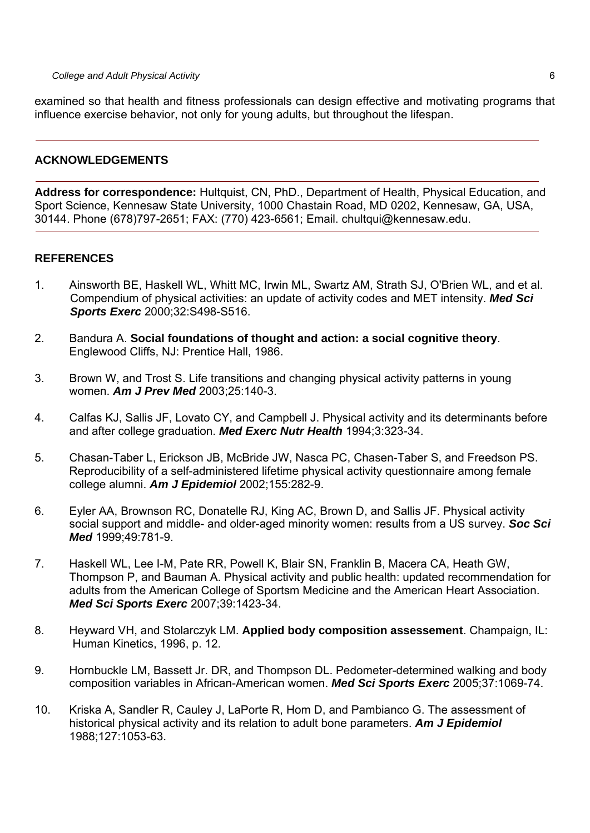examined so that health and fitness professionals can design effective and motivating programs that influence exercise behavior, not only for young adults, but throughout the lifespan.

# **ACKNOWLEDGEMENTS**

**Address for correspondence:** Hultquist, CN, PhD., Department of Health, Physical Education, and Sport Science, Kennesaw State University, 1000 Chastain Road, MD 0202, Kennesaw, GA, USA, 30144. Phone (678)797-2651; FAX: (770) 423-6561; Email. chultqui@kennesaw.edu.

# **REFERENCES**

- 1. Ainsworth BE, Haskell WL, Whitt MC, Irwin ML, Swartz AM, Strath SJ, O'Brien WL, and et al. Compendium of physical activities: an update of activity codes and MET intensity. *Med Sci Sports Exerc* 2000;32:S498-S516.
- 2. Bandura A. **Social foundations of thought and action: a social cognitive theory**. Englewood Cliffs, NJ: Prentice Hall, 1986.
- 3. Brown W, and Trost S. Life transitions and changing physical activity patterns in young women. *Am J Prev Med* 2003;25:140-3.
- 4. Calfas KJ, Sallis JF, Lovato CY, and Campbell J. Physical activity and its determinants before and after college graduation. *Med Exerc Nutr Health* 1994;3:323-34.
- 5. Chasan-Taber L, Erickson JB, McBride JW, Nasca PC, Chasen-Taber S, and Freedson PS. Reproducibility of a self-administered lifetime physical activity questionnaire among female college alumni. *Am J Epidemiol* 2002;155:282-9.
- 6. Eyler AA, Brownson RC, Donatelle RJ, King AC, Brown D, and Sallis JF. Physical activity social support and middle- and older-aged minority women: results from a US survey. *Soc Sci Med* 1999;49:781-9.
- 7. Haskell WL, Lee I-M, Pate RR, Powell K, Blair SN, Franklin B, Macera CA, Heath GW, Thompson P, and Bauman A. Physical activity and public health: updated recommendation for adults from the American College of Sportsm Medicine and the American Heart Association. *Med Sci Sports Exerc* 2007;39:1423-34.
- 8. Heyward VH, and Stolarczyk LM. **Applied body composition assessement**. Champaign, IL: Human Kinetics, 1996, p. 12.
- 9. Hornbuckle LM, Bassett Jr. DR, and Thompson DL. Pedometer-determined walking and body composition variables in African-American women. *Med Sci Sports Exerc* 2005;37:1069-74.
- 10. Kriska A, Sandler R, Cauley J, LaPorte R, Hom D, and Pambianco G. The assessment of historical physical activity and its relation to adult bone parameters. *Am J Epidemiol*  1988;127:1053-63.